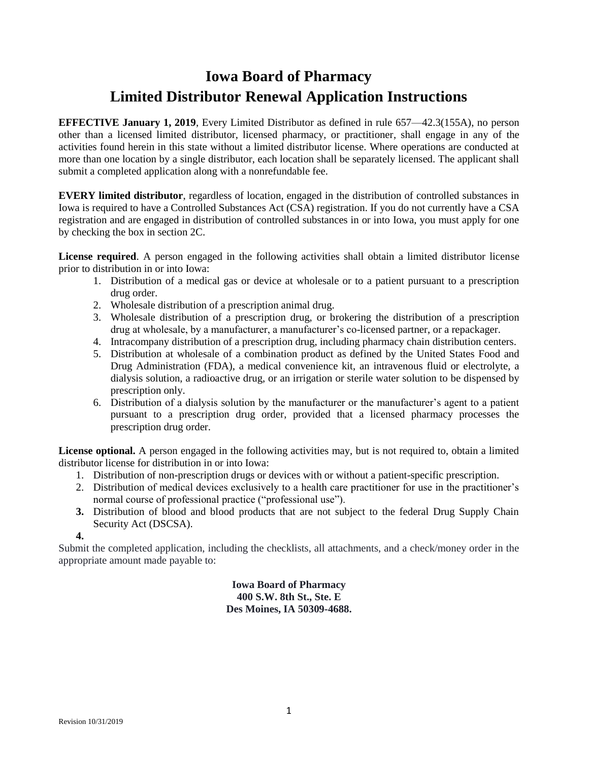# **Iowa Board of Pharmacy Limited Distributor Renewal Application Instructions**

**EFFECTIVE January 1, 2019**, Every Limited Distributor as defined in rule 657—42.3(155A), no person other than a licensed limited distributor, licensed pharmacy, or practitioner, shall engage in any of the activities found herein in this state without a limited distributor license. Where operations are conducted at more than one location by a single distributor, each location shall be separately licensed. The applicant shall submit a completed application along with a nonrefundable fee.

**EVERY limited distributor**, regardless of location, engaged in the distribution of controlled substances in Iowa is required to have a Controlled Substances Act (CSA) registration. If you do not currently have a CSA registration and are engaged in distribution of controlled substances in or into Iowa, you must apply for one by checking the box in section 2C.

**License required**. A person engaged in the following activities shall obtain a limited distributor license prior to distribution in or into Iowa:

- 1. Distribution of a medical gas or device at wholesale or to a patient pursuant to a prescription drug order.
- 2. Wholesale distribution of a prescription animal drug.
- 3. Wholesale distribution of a prescription drug, or brokering the distribution of a prescription drug at wholesale, by a manufacturer, a manufacturer's co-licensed partner, or a repackager.
- 4. Intracompany distribution of a prescription drug, including pharmacy chain distribution centers.
- 5. Distribution at wholesale of a combination product as defined by the United States Food and Drug Administration (FDA), a medical convenience kit, an intravenous fluid or electrolyte, a dialysis solution, a radioactive drug, or an irrigation or sterile water solution to be dispensed by prescription only.
- 6. Distribution of a dialysis solution by the manufacturer or the manufacturer's agent to a patient pursuant to a prescription drug order, provided that a licensed pharmacy processes the prescription drug order.

**License optional.** A person engaged in the following activities may, but is not required to, obtain a limited distributor license for distribution in or into Iowa:

- 1. Distribution of non-prescription drugs or devices with or without a patient-specific prescription.
- 2. Distribution of medical devices exclusively to a health care practitioner for use in the practitioner's normal course of professional practice ("professional use").
- **3.** Distribution of blood and blood products that are not subject to the federal Drug Supply Chain Security Act (DSCSA).

**4.**

Submit the completed application, including the checklists, all attachments, and a check/money order in the appropriate amount made payable to:

> **Iowa Board of Pharmacy 400 S.W. 8th St., Ste. E Des Moines, IA 50309-4688.**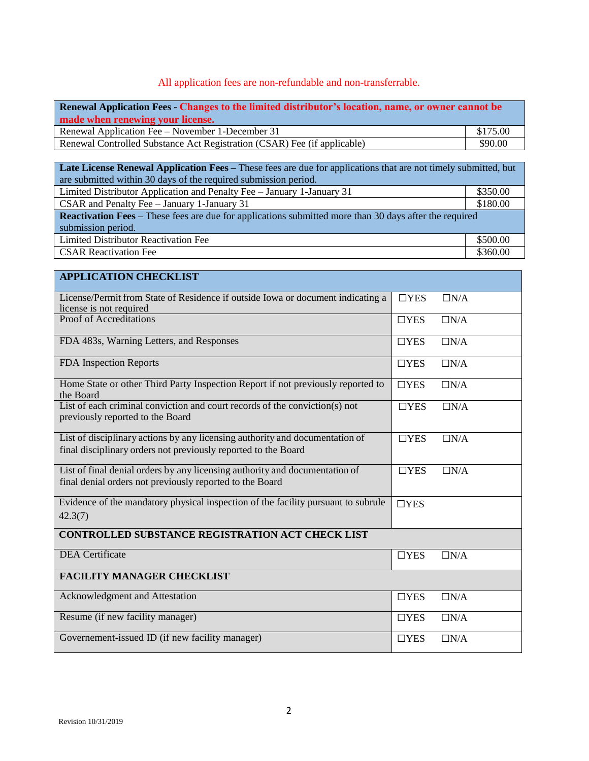#### All application fees are non-refundable and non-transferrable.

| Renewal Application Fees - Changes to the limited distributor's location, name, or owner cannot be<br>made when renewing your license. |          |  |  |  |
|----------------------------------------------------------------------------------------------------------------------------------------|----------|--|--|--|
| Renewal Application Fee – November 1-December 31                                                                                       | \$175.00 |  |  |  |
| \$90.00<br>Renewal Controlled Substance Act Registration (CSAR) Fee (if applicable)                                                    |          |  |  |  |
|                                                                                                                                        |          |  |  |  |

| <b>Late License Renewal Application Fees – These fees are due for applications that are not timely submitted, but</b> |          |  |  |  |
|-----------------------------------------------------------------------------------------------------------------------|----------|--|--|--|
| are submitted within 30 days of the required submission period.                                                       |          |  |  |  |
| Limited Distributor Application and Penalty Fee - January 1-January 31                                                | \$350.00 |  |  |  |
| CSAR and Penalty Fee - January 1-January 31                                                                           | \$180.00 |  |  |  |
| <b>Reactivation Fees</b> – These fees are due for applications submitted more than 30 days after the required         |          |  |  |  |
| submission period.                                                                                                    |          |  |  |  |
| Limited Distributor Reactivation Fee                                                                                  | \$500.00 |  |  |  |
| <b>CSAR Reactivation Fee</b>                                                                                          | \$360.00 |  |  |  |

### **APPLICATION CHECKLIST** License/Permit from State of Residence if outside Iowa or document indicating a license is not required ☐YES ☐N/A Proof of Accreditations ☐YES ☐N/A FDA 483s, Warning Letters, and Responses ◯ □YES □N/A FDA Inspection Reports ◯ ◯ ◯ ∑N/A Home State or other Third Party Inspection Report if not previously reported to the Board  $\Box$ YES  $\Box$ N/A List of each criminal conviction and court records of the conviction(s) not previously reported to the Board  $\Box$ YES  $\Box$ N/A List of disciplinary actions by any licensing authority and documentation of final disciplinary orders not previously reported to the Board  $\Box$ YES  $\Box$ N/A List of final denial orders by any licensing authority and documentation of final denial orders not previously reported to the Board  $\Box$ YES  $\Box$ N/A Evidence of the mandatory physical inspection of the facility pursuant to subrule 42.3(7) ☐YES **CONTROLLED SUBSTANCE REGISTRATION ACT CHECK LIST** DEA Certificate ◯ △YES □N/A **FACILITY MANAGER CHECKLIST** Acknowledgment and Attestation **◯ □YES** □N/A Resume (if new facility manager) ◯ ◯YES ◯N/A Governement-issued ID (if new facility manager) ◯YES ◯N/A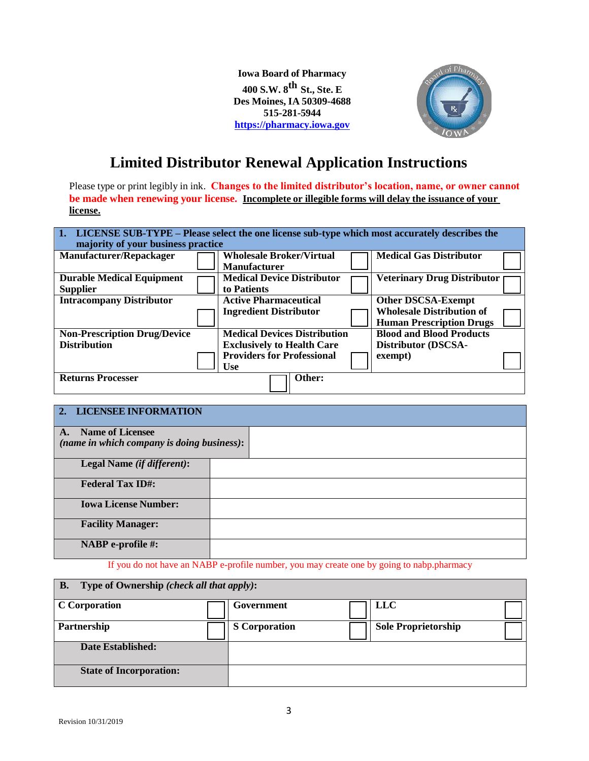**Iowa Board of Pharmacy 400 S.W. 8 th St., Ste. <sup>E</sup> Des Moines, IA 50309-4688 515-281-5944 https://pharmacy.iowa.gov**



# **Limited Distributor Renewal Application Instructions**

Please type or print legibly in ink. **Changes to the limited distributor's location, name, or owner cannot be made when renewing your license. Incomplete or illegible forms will delay the issuance of your license.**

| 1. LICENSE SUB-TYPE – Please select the one license sub-type which most accurately describes the<br>majority of your business practice |  |                                                        |                                    |  |  |  |
|----------------------------------------------------------------------------------------------------------------------------------------|--|--------------------------------------------------------|------------------------------------|--|--|--|
| Manufacturer/Repackager                                                                                                                |  | <b>Wholesale Broker/Virtual</b><br><b>Manufacturer</b> | <b>Medical Gas Distributor</b>     |  |  |  |
| <b>Durable Medical Equipment</b>                                                                                                       |  | <b>Medical Device Distributor</b>                      | <b>Veterinary Drug Distributor</b> |  |  |  |
| <b>Supplier</b>                                                                                                                        |  | to Patients                                            |                                    |  |  |  |
| <b>Intracompany Distributor</b>                                                                                                        |  | <b>Active Pharmaceutical</b>                           | <b>Other DSCSA-Exempt</b>          |  |  |  |
|                                                                                                                                        |  | <b>Ingredient Distributor</b>                          | <b>Wholesale Distribution of</b>   |  |  |  |
|                                                                                                                                        |  |                                                        | <b>Human Prescription Drugs</b>    |  |  |  |
| <b>Non-Prescription Drug/Device</b>                                                                                                    |  | <b>Medical Devices Distribution</b>                    | <b>Blood and Blood Products</b>    |  |  |  |
| <b>Distribution</b>                                                                                                                    |  | <b>Exclusively to Health Care</b>                      | Distributor (DSCSA-                |  |  |  |
|                                                                                                                                        |  | <b>Providers for Professional</b><br><b>Use</b>        | exempt)                            |  |  |  |
| <b>Returns Processer</b>                                                                                                               |  | Other:                                                 |                                    |  |  |  |

| 2. LICENSEE INFORMATION                                           |  |
|-------------------------------------------------------------------|--|
| A. Name of Licensee<br>(name in which company is doing business): |  |
| Legal Name (if different):                                        |  |
| <b>Federal Tax ID#:</b>                                           |  |
| <b>Iowa License Number:</b>                                       |  |
| <b>Facility Manager:</b>                                          |  |
| <b>NABP</b> e-profile #:                                          |  |

If you do not have an NABP e-profile number, you may create one by going to nabp.pharmacy

| Type of Ownership (check all that apply):<br><b>B.</b> |  |                      |  |                            |  |  |
|--------------------------------------------------------|--|----------------------|--|----------------------------|--|--|
| <b>C</b> Corporation                                   |  | Government           |  | <b>LLC</b>                 |  |  |
| Partnership                                            |  | <b>S</b> Corporation |  | <b>Sole Proprietorship</b> |  |  |
| Date Established:                                      |  |                      |  |                            |  |  |
| <b>State of Incorporation:</b>                         |  |                      |  |                            |  |  |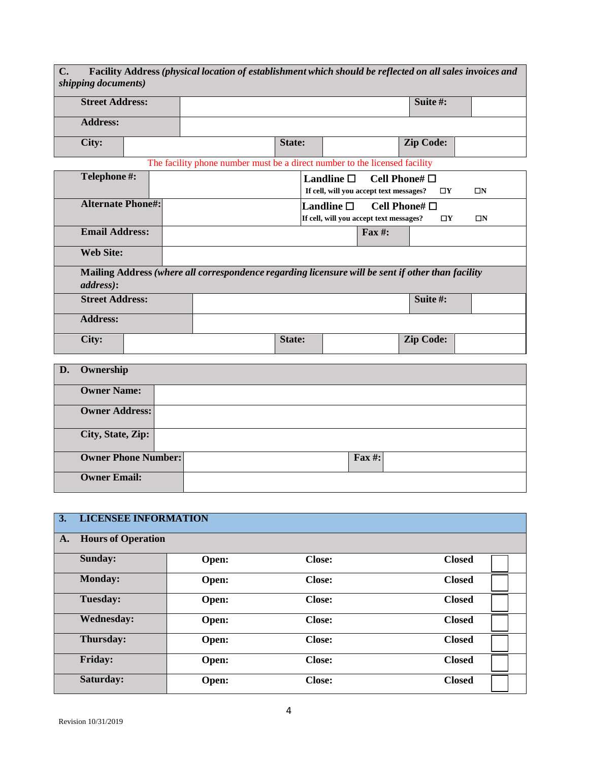**C. Facility Address** *(physical location of establishment which should be reflected on all sales invoices and shipping documents)* **Street Address: Suite #: Address: City: State: Zip Code:** The facility phone number must be a direct number to the licensed facility **Telephone #: Landline** ☐ **Cell Phone#** ☐ **If cell, will you accept text messages?** ☐**Y** ☐**N Alternate Phone#: Landline** ☐ **Cell Phone#** ☐ **If cell, will you accept text messages?** ☐**Y** ☐**N Email Address: Fax #: Web Site: Mailing Address** *(where all correspondence regarding licensure will be sent if other than facility address)***: Street Address: Suite #: Suite #: Suite #: Suite #:** *Suite* **<b>#:** *Suite* **#:** *Suite* **#:** *Suite* **#:** *Suite* **#:** *Suite* **#:** *Suite* **#:** *Suite* **#:** *Suite* **#:** *Suite* **#:** *S* **Address: City: Zip** Code: **D. Ownership Owner Name: Owner Address: City, State, Zip:**

| <b>Owner Phone Number:</b> | Fax #: |  |
|----------------------------|--------|--|
|                            |        |  |
| <b>Owner Email:</b>        |        |  |
|                            |        |  |

| 3. | <b>LICENSEE INFORMATION</b> |       |               |               |  |  |
|----|-----------------------------|-------|---------------|---------------|--|--|
| A. | <b>Hours of Operation</b>   |       |               |               |  |  |
|    | Sunday:                     | Open: | <b>Close:</b> | <b>Closed</b> |  |  |
|    | <b>Monday:</b>              | Open: | <b>Close:</b> | <b>Closed</b> |  |  |
|    | Tuesday:                    | Open: | <b>Close:</b> | <b>Closed</b> |  |  |
|    | <b>Wednesday:</b>           | Open: | <b>Close:</b> | <b>Closed</b> |  |  |
|    | Thursday:                   | Open: | <b>Close:</b> | <b>Closed</b> |  |  |
|    | Friday:                     | Open: | <b>Close:</b> | <b>Closed</b> |  |  |
|    | Saturday:                   | Open: | <b>Close:</b> | <b>Closed</b> |  |  |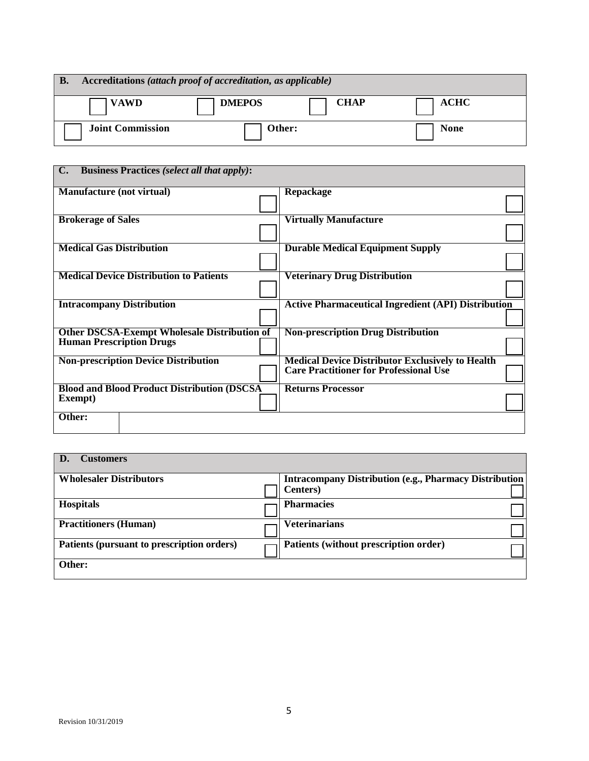| Accreditations (attach proof of accreditation, as applicable)<br><b>B.</b> |               |             |             |  |  |
|----------------------------------------------------------------------------|---------------|-------------|-------------|--|--|
| <b>VAWD</b>                                                                | <b>DMEPOS</b> | <b>CHAP</b> | ACHC        |  |  |
| <b>Joint Commission</b>                                                    | Other:        |             | <b>None</b> |  |  |

| C. Business Practices (select all that apply):      |                                                            |
|-----------------------------------------------------|------------------------------------------------------------|
|                                                     |                                                            |
| <b>Manufacture (not virtual)</b>                    | Repackage                                                  |
|                                                     |                                                            |
|                                                     |                                                            |
| <b>Brokerage of Sales</b>                           | <b>Virtually Manufacture</b>                               |
|                                                     |                                                            |
|                                                     |                                                            |
| <b>Medical Gas Distribution</b>                     | <b>Durable Medical Equipment Supply</b>                    |
|                                                     |                                                            |
|                                                     |                                                            |
| <b>Medical Device Distribution to Patients</b>      | <b>Veterinary Drug Distribution</b>                        |
|                                                     |                                                            |
|                                                     |                                                            |
|                                                     |                                                            |
| <b>Intracompany Distribution</b>                    | <b>Active Pharmaceutical Ingredient (API) Distribution</b> |
|                                                     |                                                            |
|                                                     |                                                            |
| <b>Other DSCSA-Exempt Wholesale Distribution of</b> | <b>Non-prescription Drug Distribution</b>                  |
| <b>Human Prescription Drugs</b>                     |                                                            |
|                                                     |                                                            |
| <b>Non-prescription Device Distribution</b>         | <b>Medical Device Distributor Exclusively to Health</b>    |
|                                                     | <b>Care Practitioner for Professional Use</b>              |
|                                                     |                                                            |
| <b>Blood and Blood Product Distribution (DSCSA)</b> | <b>Returns Processor</b>                                   |
| Exempt)                                             |                                                            |
|                                                     |                                                            |
| Other:                                              |                                                            |
|                                                     |                                                            |
|                                                     |                                                            |

| <b>Customers</b>                           |                                                                |
|--------------------------------------------|----------------------------------------------------------------|
| <b>Wholesaler Distributors</b>             | <b>Intracompany Distribution (e.g., Pharmacy Distribution)</b> |
|                                            | <b>Centers</b> )                                               |
| <b>Hospitals</b>                           | <b>Pharmacies</b>                                              |
| <b>Practitioners (Human)</b>               | <b>Veterinarians</b>                                           |
| Patients (pursuant to prescription orders) | Patients (without prescription order)                          |
| Other:                                     |                                                                |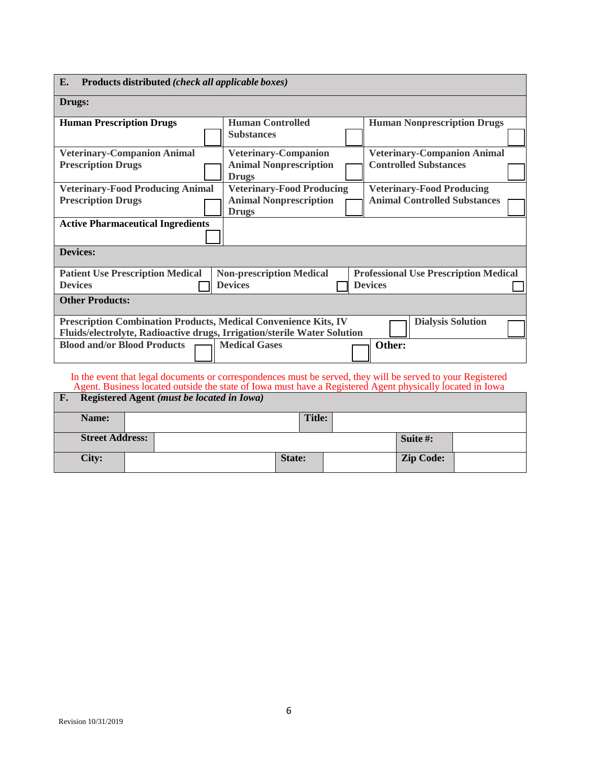| E.<br>Products distributed (check all applicable boxes)                                                                                                                                                                  |                                                                                   |                                                                         |  |  |  |
|--------------------------------------------------------------------------------------------------------------------------------------------------------------------------------------------------------------------------|-----------------------------------------------------------------------------------|-------------------------------------------------------------------------|--|--|--|
| Drugs:                                                                                                                                                                                                                   |                                                                                   |                                                                         |  |  |  |
| <b>Human Prescription Drugs</b>                                                                                                                                                                                          | <b>Human Controlled</b><br><b>Substances</b>                                      | <b>Human Nonprescription Drugs</b>                                      |  |  |  |
| <b>Veterinary-Companion Animal</b><br><b>Prescription Drugs</b>                                                                                                                                                          | <b>Veterinary-Companion</b><br><b>Animal Nonprescription</b><br><b>Drugs</b>      | <b>Veterinary-Companion Animal</b><br><b>Controlled Substances</b>      |  |  |  |
| <b>Veterinary-Food Producing Animal</b><br><b>Prescription Drugs</b>                                                                                                                                                     | <b>Veterinary-Food Producing</b><br><b>Animal Nonprescription</b><br><b>Drugs</b> | <b>Veterinary-Food Producing</b><br><b>Animal Controlled Substances</b> |  |  |  |
| <b>Active Pharmaceutical Ingredients</b>                                                                                                                                                                                 |                                                                                   |                                                                         |  |  |  |
| <b>Devices:</b>                                                                                                                                                                                                          |                                                                                   |                                                                         |  |  |  |
| <b>Patient Use Prescription Medical</b><br><b>Devices</b>                                                                                                                                                                | <b>Non-prescription Medical</b><br><b>Devices</b>                                 | <b>Professional Use Prescription Medical</b><br><b>Devices</b>          |  |  |  |
| <b>Other Products:</b>                                                                                                                                                                                                   |                                                                                   |                                                                         |  |  |  |
| Prescription Combination Products, Medical Convenience Kits, IV<br>Fluids/electrolyte, Radioactive drugs, Irrigation/sterile Water Solution                                                                              |                                                                                   | <b>Dialysis Solution</b>                                                |  |  |  |
| <b>Blood and/or Blood Products</b>                                                                                                                                                                                       | <b>Medical Gases</b>                                                              | Other:                                                                  |  |  |  |
| In the event that legal documents or correspondences must be served, they will be served to your Registered<br>Agent. Business located outside the state of Iowa must have a Registered Agent physically located in Iowa |                                                                                   |                                                                         |  |  |  |
| F.<br>Registered Agent (must be located in Iowa)                                                                                                                                                                         |                                                                                   |                                                                         |  |  |  |

| Name:                  | Title: |                  |  |
|------------------------|--------|------------------|--|
|                        |        |                  |  |
| <b>Street Address:</b> |        | Suite #:         |  |
| City:                  | State: | <b>Zip Code:</b> |  |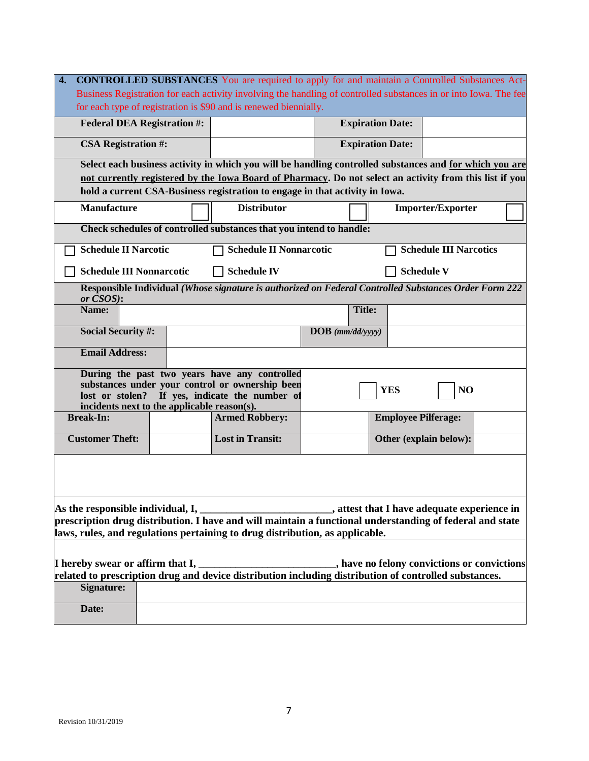| $\overline{4}$ .<br><b>CONTROLLED SUBSTANCES</b> You are required to apply for and maintain a Controlled Substances Act-                                                                                                                                                                           |                                                                                                                  |                            |                               |  |  |
|----------------------------------------------------------------------------------------------------------------------------------------------------------------------------------------------------------------------------------------------------------------------------------------------------|------------------------------------------------------------------------------------------------------------------|----------------------------|-------------------------------|--|--|
|                                                                                                                                                                                                                                                                                                    | Business Registration for each activity involving the handling of controlled substances in or into Iowa. The fee |                            |                               |  |  |
|                                                                                                                                                                                                                                                                                                    | for each type of registration is \$90 and is renewed biennially.                                                 |                            |                               |  |  |
| <b>Federal DEA Registration #:</b>                                                                                                                                                                                                                                                                 |                                                                                                                  | <b>Expiration Date:</b>    |                               |  |  |
| <b>CSA Registration #:</b>                                                                                                                                                                                                                                                                         |                                                                                                                  | <b>Expiration Date:</b>    |                               |  |  |
|                                                                                                                                                                                                                                                                                                    | Select each business activity in which you will be handling controlled substances and for which you are          |                            |                               |  |  |
| not currently registered by the Iowa Board of Pharmacy. Do not select an activity from this list if you<br>hold a current CSA-Business registration to engage in that activity in Iowa.                                                                                                            |                                                                                                                  |                            |                               |  |  |
| <b>Manufacture</b>                                                                                                                                                                                                                                                                                 | <b>Distributor</b>                                                                                               |                            | <b>Importer/Exporter</b>      |  |  |
|                                                                                                                                                                                                                                                                                                    | Check schedules of controlled substances that you intend to handle:                                              |                            |                               |  |  |
| <b>Schedule II Narcotic</b>                                                                                                                                                                                                                                                                        | <b>Schedule II Nonnarcotic</b>                                                                                   |                            | <b>Schedule III Narcotics</b> |  |  |
|                                                                                                                                                                                                                                                                                                    | <b>Schedule III Nonnarcotic</b><br><b>Schedule IV</b><br><b>Schedule V</b>                                       |                            |                               |  |  |
| or CSOS):                                                                                                                                                                                                                                                                                          | Responsible Individual (Whose signature is authorized on Federal Controlled Substances Order Form 222            |                            |                               |  |  |
| Name:                                                                                                                                                                                                                                                                                              |                                                                                                                  | <b>Title:</b>              |                               |  |  |
| <b>Social Security #:</b>                                                                                                                                                                                                                                                                          |                                                                                                                  | $\bf{DOB}$ (mm/dd/yyyy)    |                               |  |  |
| <b>Email Address:</b>                                                                                                                                                                                                                                                                              |                                                                                                                  |                            |                               |  |  |
|                                                                                                                                                                                                                                                                                                    | During the past two years have any controlled                                                                    |                            |                               |  |  |
|                                                                                                                                                                                                                                                                                                    | substances under your control or ownership been<br>lost or stolen? If yes, indicate the number of                | <b>YES</b>                 | NO                            |  |  |
|                                                                                                                                                                                                                                                                                                    | incidents next to the applicable reason(s).                                                                      |                            |                               |  |  |
| <b>Break-In:</b>                                                                                                                                                                                                                                                                                   | <b>Armed Robbery:</b>                                                                                            | <b>Employee Pilferage:</b> |                               |  |  |
| <b>Customer Theft:</b>                                                                                                                                                                                                                                                                             | <b>Lost in Transit:</b>                                                                                          |                            | Other (explain below):        |  |  |
|                                                                                                                                                                                                                                                                                                    |                                                                                                                  |                            |                               |  |  |
| As the responsible individual, I,<br>attest that I have adequate experience in settled by a state of that I have adequate experience in<br>prescription drug distribution. I have and will maintain a functional understanding of federal and state                                                |                                                                                                                  |                            |                               |  |  |
| laws, rules, and regulations pertaining to drug distribution, as applicable.                                                                                                                                                                                                                       |                                                                                                                  |                            |                               |  |  |
|                                                                                                                                                                                                                                                                                                    |                                                                                                                  |                            |                               |  |  |
| I hereby swear or affirm that I,<br>have no felony convictions or convictions<br> I hereby swear or affirm that I, _______________________________, have no felony convictions or convic<br> related to prescription drug and device distribution including distribution of controlled substances. |                                                                                                                  |                            |                               |  |  |
|                                                                                                                                                                                                                                                                                                    |                                                                                                                  |                            |                               |  |  |
| Signature:                                                                                                                                                                                                                                                                                         |                                                                                                                  |                            |                               |  |  |
| Date:                                                                                                                                                                                                                                                                                              |                                                                                                                  |                            |                               |  |  |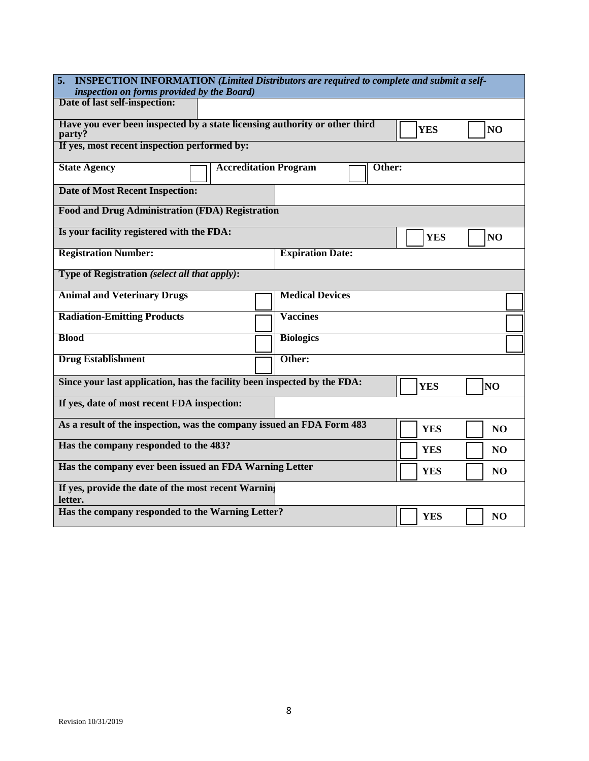| 5.<br><b>INSPECTION INFORMATION (Limited Distributors are required to complete and submit a self-</b>                |                              |                         |                |                |
|----------------------------------------------------------------------------------------------------------------------|------------------------------|-------------------------|----------------|----------------|
| inspection on forms provided by the Board)                                                                           |                              |                         |                |                |
| Date of last self-inspection:                                                                                        |                              |                         |                |                |
|                                                                                                                      |                              |                         |                |                |
| Have you ever been inspected by a state licensing authority or other third<br><b>YES</b><br>N <sub>O</sub><br>party? |                              |                         |                |                |
| If yes, most recent inspection performed by:                                                                         |                              |                         |                |                |
| <b>State Agency</b>                                                                                                  | <b>Accreditation Program</b> |                         | Other:         |                |
| <b>Date of Most Recent Inspection:</b>                                                                               |                              |                         |                |                |
| <b>Food and Drug Administration (FDA) Registration</b>                                                               |                              |                         |                |                |
| Is your facility registered with the FDA:                                                                            |                              |                         | <b>YES</b>     | NO             |
| <b>Registration Number:</b>                                                                                          |                              | <b>Expiration Date:</b> |                |                |
| Type of Registration (select all that apply):                                                                        |                              |                         |                |                |
| <b>Animal and Veterinary Drugs</b>                                                                                   |                              | <b>Medical Devices</b>  |                |                |
| <b>Radiation-Emitting Products</b>                                                                                   |                              | <b>Vaccines</b>         |                |                |
| <b>Blood</b>                                                                                                         |                              | <b>Biologics</b>        |                |                |
| <b>Drug Establishment</b>                                                                                            |                              | Other:                  |                |                |
| Since your last application, has the facility been inspected by the FDA:                                             |                              |                         | <b>YES</b>     | NO             |
| If yes, date of most recent FDA inspection:                                                                          |                              |                         |                |                |
| As a result of the inspection, was the company issued an FDA Form 483                                                |                              | <b>YES</b>              | N <sub>O</sub> |                |
| Has the company responded to the 483?                                                                                |                              | <b>YES</b>              | NO             |                |
| Has the company ever been issued an FDA Warning Letter                                                               |                              | <b>YES</b>              | N <sub>O</sub> |                |
| If yes, provide the date of the most recent Warning<br>letter.                                                       |                              |                         |                |                |
| Has the company responded to the Warning Letter?                                                                     |                              |                         | <b>YES</b>     | N <sub>O</sub> |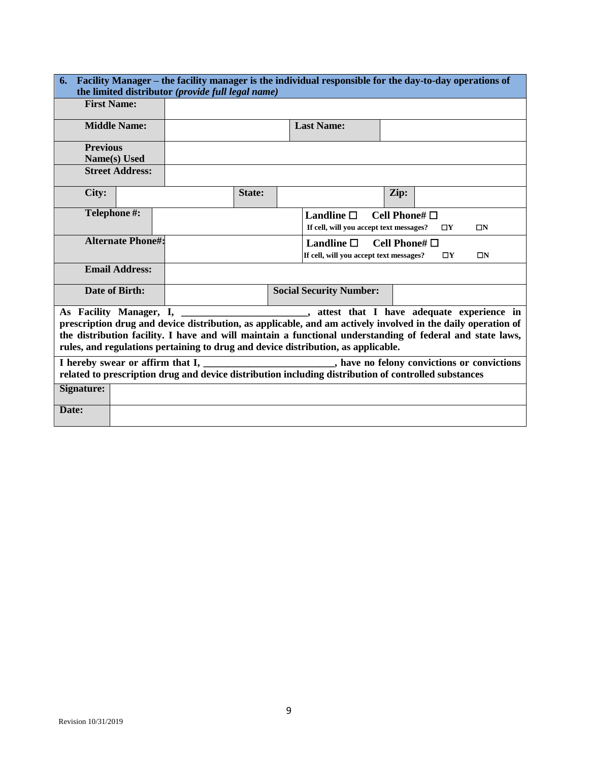| Facility Manager – the facility manager is the individual responsible for the day-to-day operations of<br>6.<br>the limited distributor (provide full legal name) |  |                                                                                                              |        |                                         |                       |             |          |
|-------------------------------------------------------------------------------------------------------------------------------------------------------------------|--|--------------------------------------------------------------------------------------------------------------|--------|-----------------------------------------|-----------------------|-------------|----------|
| <b>First Name:</b>                                                                                                                                                |  |                                                                                                              |        |                                         |                       |             |          |
| <b>Middle Name:</b>                                                                                                                                               |  |                                                                                                              |        | <b>Last Name:</b>                       |                       |             |          |
| <b>Previous</b>                                                                                                                                                   |  |                                                                                                              |        |                                         |                       |             |          |
| Name(s) Used                                                                                                                                                      |  |                                                                                                              |        |                                         |                       |             |          |
| <b>Street Address:</b>                                                                                                                                            |  |                                                                                                              |        |                                         |                       |             |          |
| City:                                                                                                                                                             |  |                                                                                                              | State: |                                         | Zip:                  |             |          |
| Telephone#:                                                                                                                                                       |  |                                                                                                              |        | Landline $\square$                      | Cell Phone# $\Box$    |             |          |
|                                                                                                                                                                   |  |                                                                                                              |        | If cell, will you accept text messages? |                       | $\square$   | $\Box N$ |
| <b>Alternate Phone#:</b>                                                                                                                                          |  |                                                                                                              |        | Landline $\square$                      | Cell Phone# $\square$ |             |          |
|                                                                                                                                                                   |  |                                                                                                              |        | If cell, will you accept text messages? |                       | $\square Y$ | $\Box N$ |
| <b>Email Address:</b>                                                                                                                                             |  |                                                                                                              |        |                                         |                       |             |          |
| Date of Birth:                                                                                                                                                    |  |                                                                                                              |        | <b>Social Security Number:</b>          |                       |             |          |
|                                                                                                                                                                   |  | As Facility Manager, I, _____________________, attest that I have adequate experience in                     |        |                                         |                       |             |          |
|                                                                                                                                                                   |  | prescription drug and device distribution, as applicable, and am actively involved in the daily operation of |        |                                         |                       |             |          |
|                                                                                                                                                                   |  | the distribution facility. I have and will maintain a functional understanding of federal and state laws,    |        |                                         |                       |             |          |
|                                                                                                                                                                   |  | rules, and regulations pertaining to drug and device distribution, as applicable.                            |        |                                         |                       |             |          |
| I hereby swear or affirm that I, ________________________, have no felony convictions or convictions                                                              |  |                                                                                                              |        |                                         |                       |             |          |
| related to prescription drug and device distribution including distribution of controlled substances                                                              |  |                                                                                                              |        |                                         |                       |             |          |
| Signature:                                                                                                                                                        |  |                                                                                                              |        |                                         |                       |             |          |
| Date:                                                                                                                                                             |  |                                                                                                              |        |                                         |                       |             |          |